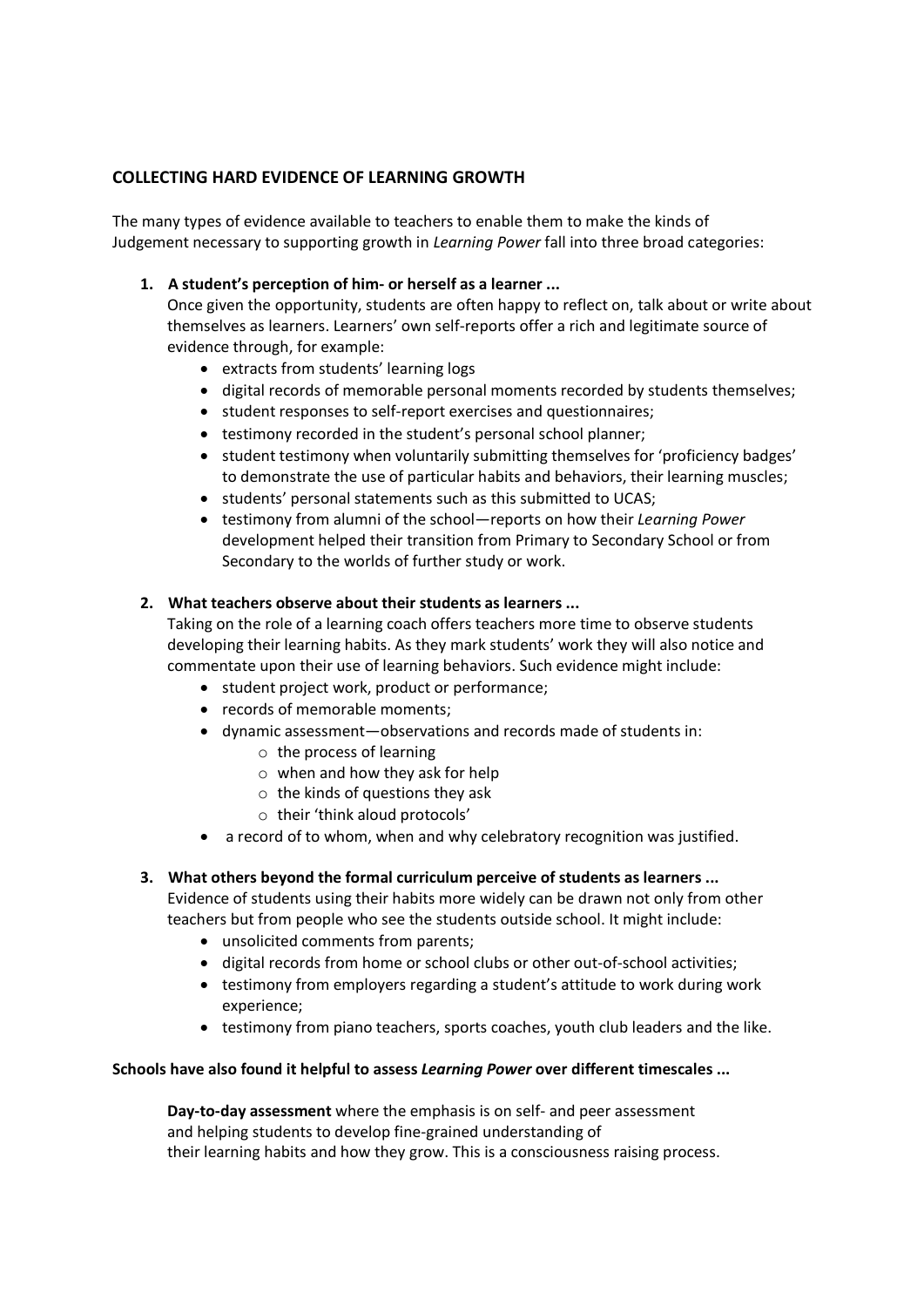## **COLLECTING HARD EVIDENCE OF LEARNING GROWTH**

The many types of evidence available to teachers to enable them to make the kinds of Judgement necessary to supporting growth in *Learning Power* fall into three broad categories:

## **1. A student's perception of him- or herself as a learner ...**

Once given the opportunity, students are often happy to reflect on, talk about or write about themselves as learners. Learners' own self-reports offer a rich and legitimate source of evidence through, for example:

- extracts from students' learning logs
- digital records of memorable personal moments recorded by students themselves;
- student responses to self-report exercises and questionnaires;
- testimony recorded in the student's personal school planner;
- student testimony when voluntarily submitting themselves for 'proficiency badges' to demonstrate the use of particular habits and behaviors, their learning muscles;
- students' personal statements such as this submitted to UCAS;
- testimony from alumni of the school—reports on how their *Learning Power* development helped their transition from Primary to Secondary School or from Secondary to the worlds of further study or work.

## **2. What teachers observe about their students as learners ...**

Taking on the role of a learning coach offers teachers more time to observe students developing their learning habits. As they mark students' work they will also notice and commentate upon their use of learning behaviors. Such evidence might include:

- student project work, product or performance;
- records of memorable moments;
- dynamic assessment—observations and records made of students in:
	- o the process of learning
	- o when and how they ask for help
	- $\circ$  the kinds of questions they ask
	- o their 'think aloud protocols'
- a record of to whom, when and why celebratory recognition was justified.
- **3. What others beyond the formal curriculum perceive of students as learners ...** Evidence of students using their habits more widely can be drawn not only from other
	- teachers but from people who see the students outside school. It might include:
		- unsolicited comments from parents;
		- digital records from home or school clubs or other out-of-school activities;
		- testimony from employers regarding a student's attitude to work during work experience;
		- testimony from piano teachers, sports coaches, youth club leaders and the like.

## **Schools have also found it helpful to assess** *Learning Power* **over different timescales ...**

**Day-to-day assessment** where the emphasis is on self- and peer assessment and helping students to develop fine-grained understanding of their learning habits and how they grow. This is a consciousness raising process.